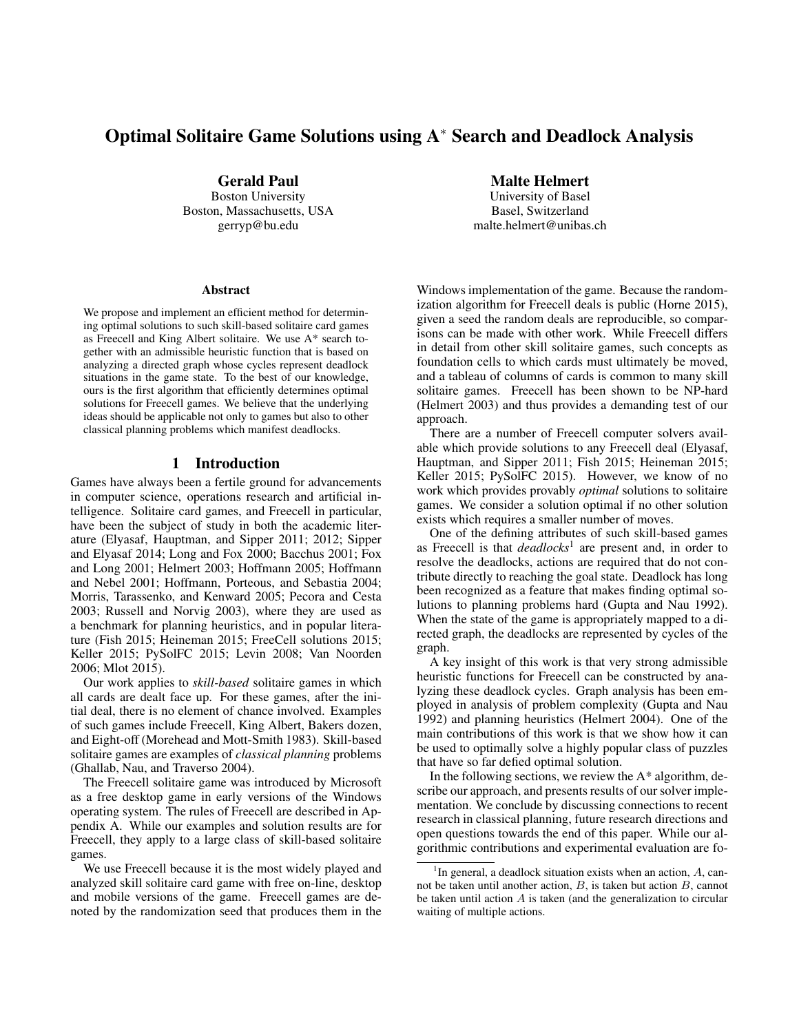# Optimal Solitaire Game Solutions using A<sup>∗</sup> Search and Deadlock Analysis

Gerald Paul Boston University

Boston, Massachusetts, USA gerryp@bu.edu

#### **Abstract**

We propose and implement an efficient method for determining optimal solutions to such skill-based solitaire card games as Freecell and King Albert solitaire. We use A\* search together with an admissible heuristic function that is based on analyzing a directed graph whose cycles represent deadlock situations in the game state. To the best of our knowledge, ours is the first algorithm that efficiently determines optimal solutions for Freecell games. We believe that the underlying ideas should be applicable not only to games but also to other classical planning problems which manifest deadlocks.

### 1 Introduction

Games have always been a fertile ground for advancements in computer science, operations research and artificial intelligence. Solitaire card games, and Freecell in particular, have been the subject of study in both the academic literature (Elyasaf, Hauptman, and Sipper 2011; 2012; Sipper and Elyasaf 2014; Long and Fox 2000; Bacchus 2001; Fox and Long 2001; Helmert 2003; Hoffmann 2005; Hoffmann and Nebel 2001; Hoffmann, Porteous, and Sebastia 2004; Morris, Tarassenko, and Kenward 2005; Pecora and Cesta 2003; Russell and Norvig 2003), where they are used as a benchmark for planning heuristics, and in popular literature (Fish 2015; Heineman 2015; FreeCell solutions 2015; Keller 2015; PySolFC 2015; Levin 2008; Van Noorden 2006; Mlot 2015).

Our work applies to *skill-based* solitaire games in which all cards are dealt face up. For these games, after the initial deal, there is no element of chance involved. Examples of such games include Freecell, King Albert, Bakers dozen, and Eight-off (Morehead and Mott-Smith 1983). Skill-based solitaire games are examples of *classical planning* problems (Ghallab, Nau, and Traverso 2004).

The Freecell solitaire game was introduced by Microsoft as a free desktop game in early versions of the Windows operating system. The rules of Freecell are described in Appendix A. While our examples and solution results are for Freecell, they apply to a large class of skill-based solitaire games.

We use Freecell because it is the most widely played and analyzed skill solitaire card game with free on-line, desktop and mobile versions of the game. Freecell games are denoted by the randomization seed that produces them in the

Malte Helmert

University of Basel Basel, Switzerland malte.helmert@unibas.ch

Windows implementation of the game. Because the randomization algorithm for Freecell deals is public (Horne 2015), given a seed the random deals are reproducible, so comparisons can be made with other work. While Freecell differs in detail from other skill solitaire games, such concepts as foundation cells to which cards must ultimately be moved, and a tableau of columns of cards is common to many skill solitaire games. Freecell has been shown to be NP-hard (Helmert 2003) and thus provides a demanding test of our approach.

There are a number of Freecell computer solvers available which provide solutions to any Freecell deal (Elyasaf, Hauptman, and Sipper 2011; Fish 2015; Heineman 2015; Keller 2015; PySolFC 2015). However, we know of no work which provides provably *optimal* solutions to solitaire games. We consider a solution optimal if no other solution exists which requires a smaller number of moves.

One of the defining attributes of such skill-based games as Freecell is that *deadlocks*<sup>1</sup> are present and, in order to resolve the deadlocks, actions are required that do not contribute directly to reaching the goal state. Deadlock has long been recognized as a feature that makes finding optimal solutions to planning problems hard (Gupta and Nau 1992). When the state of the game is appropriately mapped to a directed graph, the deadlocks are represented by cycles of the graph.

A key insight of this work is that very strong admissible heuristic functions for Freecell can be constructed by analyzing these deadlock cycles. Graph analysis has been employed in analysis of problem complexity (Gupta and Nau 1992) and planning heuristics (Helmert 2004). One of the main contributions of this work is that we show how it can be used to optimally solve a highly popular class of puzzles that have so far defied optimal solution.

In the following sections, we review the  $A^*$  algorithm, describe our approach, and presents results of our solver implementation. We conclude by discussing connections to recent research in classical planning, future research directions and open questions towards the end of this paper. While our algorithmic contributions and experimental evaluation are fo-

<sup>&</sup>lt;sup>1</sup>In general, a deadlock situation exists when an action,  $A$ , cannot be taken until another action,  $B$ , is taken but action  $B$ , cannot be taken until action  $A$  is taken (and the generalization to circular waiting of multiple actions.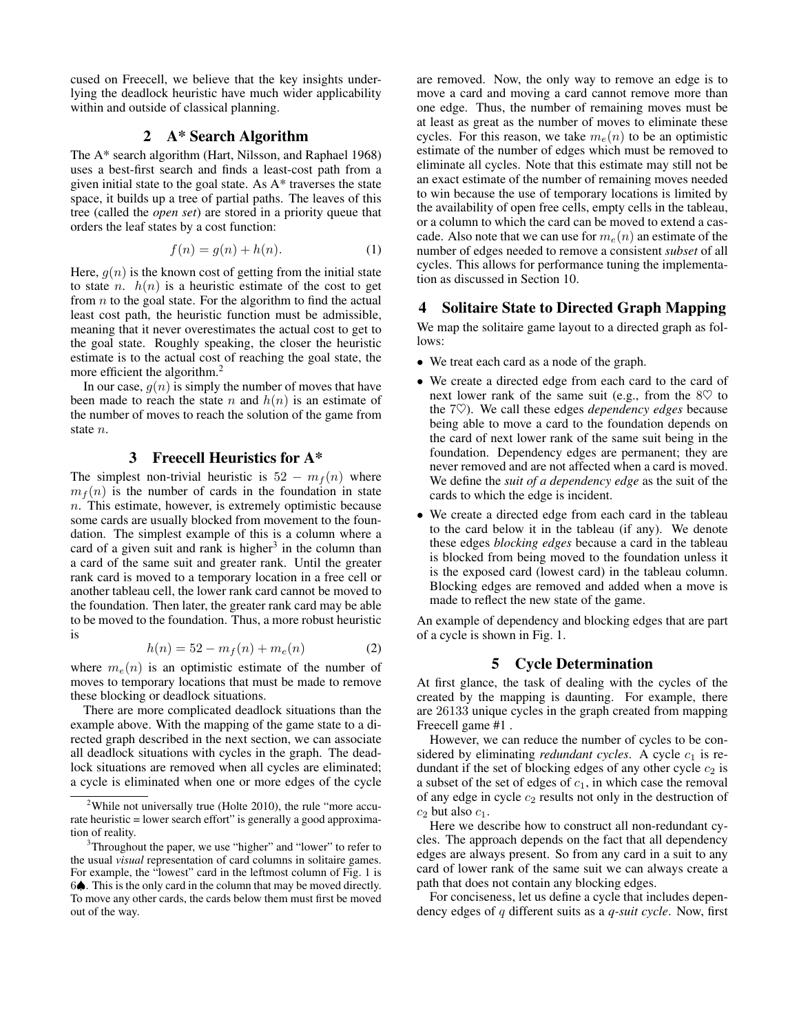cused on Freecell, we believe that the key insights underlying the deadlock heuristic have much wider applicability within and outside of classical planning.

## 2 A\* Search Algorithm

The A\* search algorithm (Hart, Nilsson, and Raphael 1968) uses a best-first search and finds a least-cost path from a given initial state to the goal state. As A\* traverses the state space, it builds up a tree of partial paths. The leaves of this tree (called the *open set*) are stored in a priority queue that orders the leaf states by a cost function:

$$
f(n) = g(n) + h(n). \tag{1}
$$

Here,  $g(n)$  is the known cost of getting from the initial state to state *n*.  $h(n)$  is a heuristic estimate of the cost to get from  $n$  to the goal state. For the algorithm to find the actual least cost path, the heuristic function must be admissible, meaning that it never overestimates the actual cost to get to the goal state. Roughly speaking, the closer the heuristic estimate is to the actual cost of reaching the goal state, the more efficient the algorithm.<sup>2</sup>

In our case,  $g(n)$  is simply the number of moves that have been made to reach the state n and  $h(n)$  is an estimate of the number of moves to reach the solution of the game from state n.

### 3 Freecell Heuristics for A\*

The simplest non-trivial heuristic is  $52 - m<sub>f</sub>(n)$  where  $m_f(n)$  is the number of cards in the foundation in state n. This estimate, however, is extremely optimistic because some cards are usually blocked from movement to the foundation. The simplest example of this is a column where a card of a given suit and rank is higher<sup>3</sup> in the column than a card of the same suit and greater rank. Until the greater rank card is moved to a temporary location in a free cell or another tableau cell, the lower rank card cannot be moved to the foundation. Then later, the greater rank card may be able to be moved to the foundation. Thus, a more robust heuristic is

$$
h(n) = 52 - m_f(n) + m_e(n)
$$
 (2)

where  $m_e(n)$  is an optimistic estimate of the number of moves to temporary locations that must be made to remove these blocking or deadlock situations.

There are more complicated deadlock situations than the example above. With the mapping of the game state to a directed graph described in the next section, we can associate all deadlock situations with cycles in the graph. The deadlock situations are removed when all cycles are eliminated; a cycle is eliminated when one or more edges of the cycle

are removed. Now, the only way to remove an edge is to move a card and moving a card cannot remove more than one edge. Thus, the number of remaining moves must be at least as great as the number of moves to eliminate these cycles. For this reason, we take  $m_e(n)$  to be an optimistic estimate of the number of edges which must be removed to eliminate all cycles. Note that this estimate may still not be an exact estimate of the number of remaining moves needed to win because the use of temporary locations is limited by the availability of open free cells, empty cells in the tableau, or a column to which the card can be moved to extend a cascade. Also note that we can use for  $m_e(n)$  an estimate of the number of edges needed to remove a consistent *subset* of all cycles. This allows for performance tuning the implementation as discussed in Section 10.

## 4 Solitaire State to Directed Graph Mapping

We map the solitaire game layout to a directed graph as follows:

- We treat each card as a node of the graph.
- We create a directed edge from each card to the card of next lower rank of the same suit (e.g., from the  $8\heartsuit$  to the 7 $\heartsuit$ ). We call these edges *dependency edges* because being able to move a card to the foundation depends on the card of next lower rank of the same suit being in the foundation. Dependency edges are permanent; they are never removed and are not affected when a card is moved. We define the *suit of a dependency edge* as the suit of the cards to which the edge is incident.
- We create a directed edge from each card in the tableau to the card below it in the tableau (if any). We denote these edges *blocking edges* because a card in the tableau is blocked from being moved to the foundation unless it is the exposed card (lowest card) in the tableau column. Blocking edges are removed and added when a move is made to reflect the new state of the game.

An example of dependency and blocking edges that are part of a cycle is shown in Fig. 1.

### 5 Cycle Determination

At first glance, the task of dealing with the cycles of the created by the mapping is daunting. For example, there are 26133 unique cycles in the graph created from mapping Freecell game #1 .

However, we can reduce the number of cycles to be considered by eliminating *redundant cycles*. A cycle  $c_1$  is redundant if the set of blocking edges of any other cycle  $c_2$  is a subset of the set of edges of  $c_1$ , in which case the removal of any edge in cycle  $c_2$  results not only in the destruction of  $c_2$  but also  $c_1$ .

Here we describe how to construct all non-redundant cycles. The approach depends on the fact that all dependency edges are always present. So from any card in a suit to any card of lower rank of the same suit we can always create a path that does not contain any blocking edges.

For conciseness, let us define a cycle that includes dependency edges of q different suits as a *q-suit cycle*. Now, first

<sup>&</sup>lt;sup>2</sup>While not universally true (Holte 2010), the rule "more accurate heuristic = lower search effort" is generally a good approximation of reality.

<sup>&</sup>lt;sup>3</sup>Throughout the paper, we use "higher" and "lower" to refer to the usual *visual* representation of card columns in solitaire games. For example, the "lowest" card in the leftmost column of Fig. 1 is 6♠. This is the only card in the column that may be moved directly. To move any other cards, the cards below them must first be moved out of the way.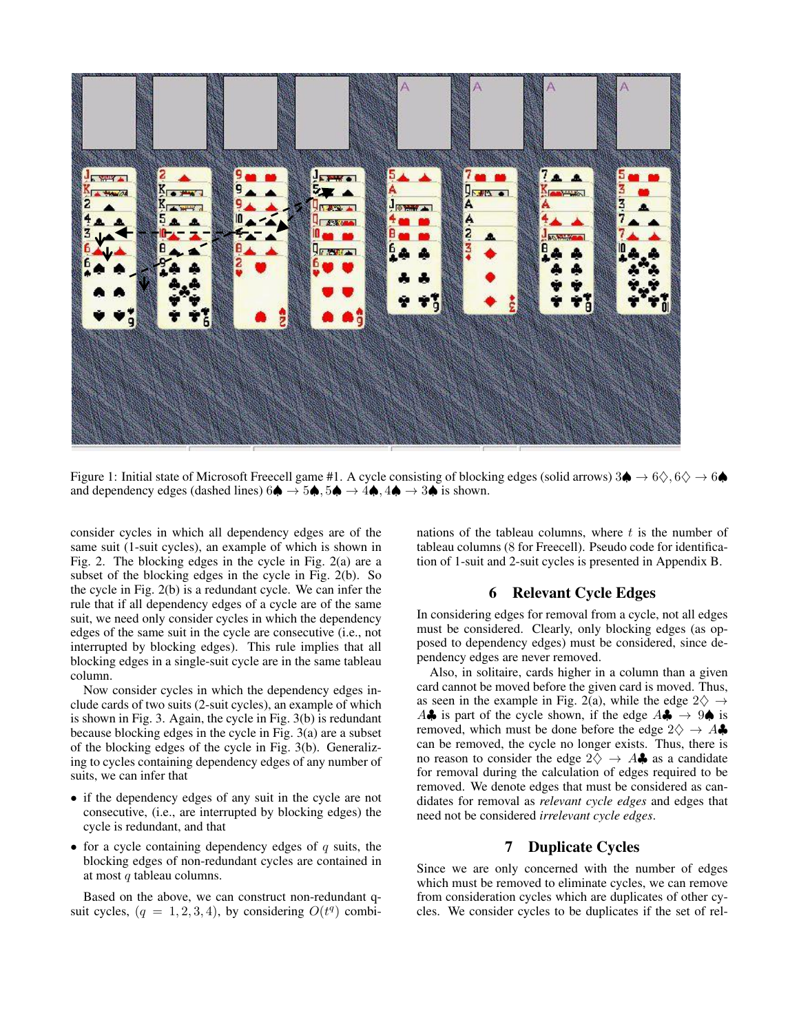

Figure 1: Initial state of Microsoft Freecell game #1. A cycle consisting of blocking edges (solid arrows) 3♦ → 6◇, 6◇ → 6♦ and dependency edges (dashed lines)  $6\spadesuit \rightarrow 5\spadesuit, 5\spadesuit \rightarrow 4\spadesuit, 4\spadesuit \rightarrow 3\spadesuit$  is shown.

consider cycles in which all dependency edges are of the same suit (1-suit cycles), an example of which is shown in Fig. 2. The blocking edges in the cycle in Fig. 2(a) are a subset of the blocking edges in the cycle in Fig. 2(b). So the cycle in Fig. 2(b) is a redundant cycle. We can infer the rule that if all dependency edges of a cycle are of the same suit, we need only consider cycles in which the dependency edges of the same suit in the cycle are consecutive (i.e., not interrupted by blocking edges). This rule implies that all blocking edges in a single-suit cycle are in the same tableau column.

Now consider cycles in which the dependency edges include cards of two suits (2-suit cycles), an example of which is shown in Fig. 3. Again, the cycle in Fig. 3(b) is redundant because blocking edges in the cycle in Fig. 3(a) are a subset of the blocking edges of the cycle in Fig. 3(b). Generalizing to cycles containing dependency edges of any number of suits, we can infer that

- if the dependency edges of any suit in the cycle are not consecutive, (i.e., are interrupted by blocking edges) the cycle is redundant, and that
- for a cycle containing dependency edges of  $q$  suits, the blocking edges of non-redundant cycles are contained in at most q tableau columns.

Based on the above, we can construct non-redundant qsuit cycles,  $(q = 1, 2, 3, 4)$ , by considering  $O(t^q)$  combinations of the tableau columns, where  $t$  is the number of tableau columns (8 for Freecell). Pseudo code for identification of 1-suit and 2-suit cycles is presented in Appendix B.

## 6 Relevant Cycle Edges

In considering edges for removal from a cycle, not all edges must be considered. Clearly, only blocking edges (as opposed to dependency edges) must be considered, since dependency edges are never removed.

Also, in solitaire, cards higher in a column than a given card cannot be moved before the given card is moved. Thus, as seen in the example in Fig. 2(a), while the edge  $2\diamondsuit \rightarrow$ A $\clubsuit$  is part of the cycle shown, if the edge  $A\clubsuit \rightarrow 9\spadesuit$  is removed, which must be done before the edge  $2\diamondsuit \rightarrow A\clubsuit$ can be removed, the cycle no longer exists. Thus, there is no reason to consider the edge  $2\diamondsuit \rightarrow A\clubsuit$  as a candidate for removal during the calculation of edges required to be removed. We denote edges that must be considered as candidates for removal as *relevant cycle edges* and edges that need not be considered *irrelevant cycle edges*.

## 7 Duplicate Cycles

Since we are only concerned with the number of edges which must be removed to eliminate cycles, we can remove from consideration cycles which are duplicates of other cycles. We consider cycles to be duplicates if the set of rel-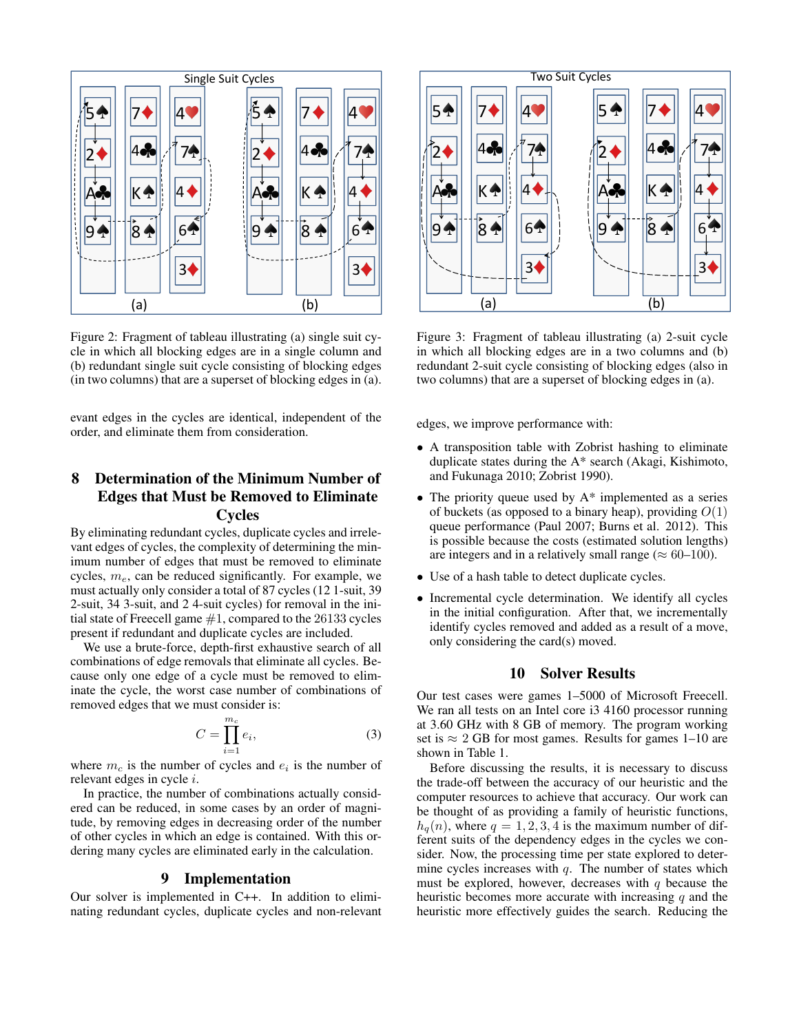

Figure 2: Fragment of tableau illustrating (a) single suit cycle in which all blocking edges are in a single column and (b) redundant single suit cycle consisting of blocking edges (in two columns) that are a superset of blocking edges in (a).

evant edges in the cycles are identical, independent of the order, and eliminate them from consideration.

# 8 Determination of the Minimum Number of Edges that Must be Removed to Eliminate

## Cycles

By eliminating redundant cycles, duplicate cycles and irrelevant edges of cycles, the complexity of determining the minimum number of edges that must be removed to eliminate cycles,  $m_e$ , can be reduced significantly. For example, we must actually only consider a total of 87 cycles (12 1-suit, 39 2-suit, 34 3-suit, and 2 4-suit cycles) for removal in the initial state of Freecell game  $#1$ , compared to the 26133 cycles present if redundant and duplicate cycles are included.

We use a brute-force, depth-first exhaustive search of all combinations of edge removals that eliminate all cycles. Because only one edge of a cycle must be removed to eliminate the cycle, the worst case number of combinations of removed edges that we must consider is:

$$
C = \prod_{i=1}^{m_c} e_i,\tag{3}
$$

where  $m_c$  is the number of cycles and  $e_i$  is the number of relevant edges in cycle i.

In practice, the number of combinations actually considered can be reduced, in some cases by an order of magnitude, by removing edges in decreasing order of the number of other cycles in which an edge is contained. With this ordering many cycles are eliminated early in the calculation.

## 9 Implementation

Our solver is implemented in C++. In addition to eliminating redundant cycles, duplicate cycles and non-relevant



Figure 3: Fragment of tableau illustrating (a) 2-suit cycle in which all blocking edges are in a two columns and (b) redundant 2-suit cycle consisting of blocking edges (also in two columns) that are a superset of blocking edges in (a).

edges, we improve performance with:

- A transposition table with Zobrist hashing to eliminate duplicate states during the A\* search (Akagi, Kishimoto, and Fukunaga 2010; Zobrist 1990).
- The priority queue used by  $A^*$  implemented as a series of buckets (as opposed to a binary heap), providing  $O(1)$ queue performance (Paul 2007; Burns et al. 2012). This is possible because the costs (estimated solution lengths) are integers and in a relatively small range ( $\approx 60-100$ ).
- Use of a hash table to detect duplicate cycles.
- Incremental cycle determination. We identify all cycles in the initial configuration. After that, we incrementally identify cycles removed and added as a result of a move, only considering the card(s) moved.

## 10 Solver Results

Our test cases were games 1–5000 of Microsoft Freecell. We ran all tests on an Intel core i3 4160 processor running at 3.60 GHz with 8 GB of memory. The program working set is  $\approx 2$  GB for most games. Results for games 1–10 are shown in Table 1.

Before discussing the results, it is necessary to discuss the trade-off between the accuracy of our heuristic and the computer resources to achieve that accuracy. Our work can be thought of as providing a family of heuristic functions,  $h_q(n)$ , where  $q = 1, 2, 3, 4$  is the maximum number of different suits of the dependency edges in the cycles we consider. Now, the processing time per state explored to determine cycles increases with  $q$ . The number of states which must be explored, however, decreases with  $q$  because the heuristic becomes more accurate with increasing  $q$  and the heuristic more effectively guides the search. Reducing the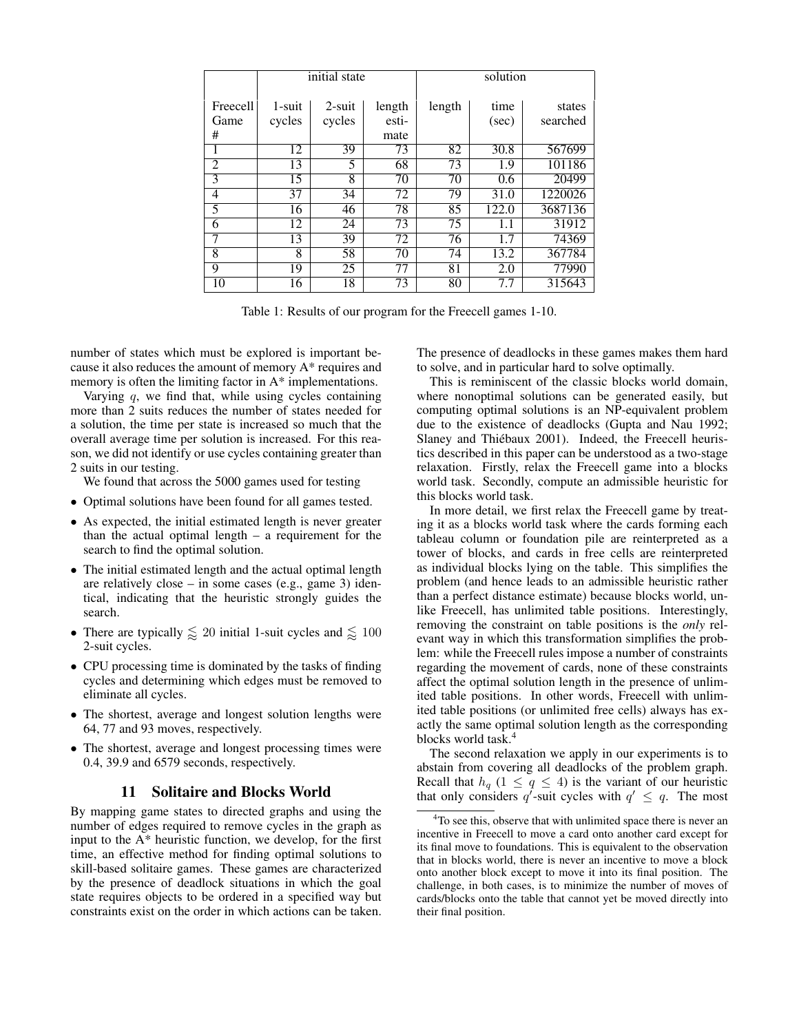|                 | initial state |           |        | solution |       |          |
|-----------------|---------------|-----------|--------|----------|-------|----------|
| <b>Freecell</b> | 1-suit        | $2$ -suit | length | length   | time  | states   |
| Game            | cycles        | cycles    | esti-  |          | (sec) | searched |
| #               |               |           | mate   |          |       |          |
|                 | 12            | 39        | 73     | 82       | 30.8  | 567699   |
| $\overline{2}$  | 13            | 5         | 68     | 73       | 1.9   | 101186   |
| 3               | 15            | 8         | 70     | 70       | 0.6   | 20499    |
| 4               | 37            | 34        | 72     | 79       | 31.0  | 1220026  |
| 5               | 16            | 46        | 78     | 85       | 122.0 | 3687136  |
| 6               | 12            | 24        | 73     | 75       | 1.1   | 31912    |
| 7               | 13            | 39        | 72     | 76       | 1.7   | 74369    |
| 8               | 8             | 58        | 70     | 74       | 13.2  | 367784   |
| 9               | 19            | 25        | 77     | 81       | 2.0   | 77990    |
| 10              | 16            | 18        | 73     | 80       | 7.7   | 315643   |

Table 1: Results of our program for the Freecell games 1-10.

number of states which must be explored is important because it also reduces the amount of memory A\* requires and memory is often the limiting factor in A\* implementations.

Varying  $q$ , we find that, while using cycles containing more than 2 suits reduces the number of states needed for a solution, the time per state is increased so much that the overall average time per solution is increased. For this reason, we did not identify or use cycles containing greater than 2 suits in our testing.

We found that across the 5000 games used for testing

- Optimal solutions have been found for all games tested.
- As expected, the initial estimated length is never greater than the actual optimal length  $-$  a requirement for the search to find the optimal solution.
- The initial estimated length and the actual optimal length are relatively close – in some cases (e.g., game 3) identical, indicating that the heuristic strongly guides the search.
- There are typically  $\leq 20$  initial 1-suit cycles and  $\leq 100$ 2-suit cycles.
- CPU processing time is dominated by the tasks of finding cycles and determining which edges must be removed to eliminate all cycles.
- The shortest, average and longest solution lengths were 64, 77 and 93 moves, respectively.
- The shortest, average and longest processing times were 0.4, 39.9 and 6579 seconds, respectively.

### 11 Solitaire and Blocks World

By mapping game states to directed graphs and using the number of edges required to remove cycles in the graph as input to the A\* heuristic function, we develop, for the first time, an effective method for finding optimal solutions to skill-based solitaire games. These games are characterized by the presence of deadlock situations in which the goal state requires objects to be ordered in a specified way but constraints exist on the order in which actions can be taken.

The presence of deadlocks in these games makes them hard to solve, and in particular hard to solve optimally.

This is reminiscent of the classic blocks world domain, where nonoptimal solutions can be generated easily, but computing optimal solutions is an NP-equivalent problem due to the existence of deadlocks (Gupta and Nau 1992; Slaney and Thiébaux 2001). Indeed, the Freecell heuristics described in this paper can be understood as a two-stage relaxation. Firstly, relax the Freecell game into a blocks world task. Secondly, compute an admissible heuristic for this blocks world task.

In more detail, we first relax the Freecell game by treating it as a blocks world task where the cards forming each tableau column or foundation pile are reinterpreted as a tower of blocks, and cards in free cells are reinterpreted as individual blocks lying on the table. This simplifies the problem (and hence leads to an admissible heuristic rather than a perfect distance estimate) because blocks world, unlike Freecell, has unlimited table positions. Interestingly, removing the constraint on table positions is the *only* relevant way in which this transformation simplifies the problem: while the Freecell rules impose a number of constraints regarding the movement of cards, none of these constraints affect the optimal solution length in the presence of unlimited table positions. In other words, Freecell with unlimited table positions (or unlimited free cells) always has exactly the same optimal solution length as the corresponding blocks world task.<sup>4</sup>

The second relaxation we apply in our experiments is to abstain from covering all deadlocks of the problem graph. Recall that  $h_q$  (1  $\leq$  q  $\leq$  4) is the variant of our heuristic that only considers q'-suit cycles with  $q' \leq q$ . The most

<sup>&</sup>lt;sup>4</sup>To see this, observe that with unlimited space there is never an incentive in Freecell to move a card onto another card except for its final move to foundations. This is equivalent to the observation that in blocks world, there is never an incentive to move a block onto another block except to move it into its final position. The challenge, in both cases, is to minimize the number of moves of cards/blocks onto the table that cannot yet be moved directly into their final position.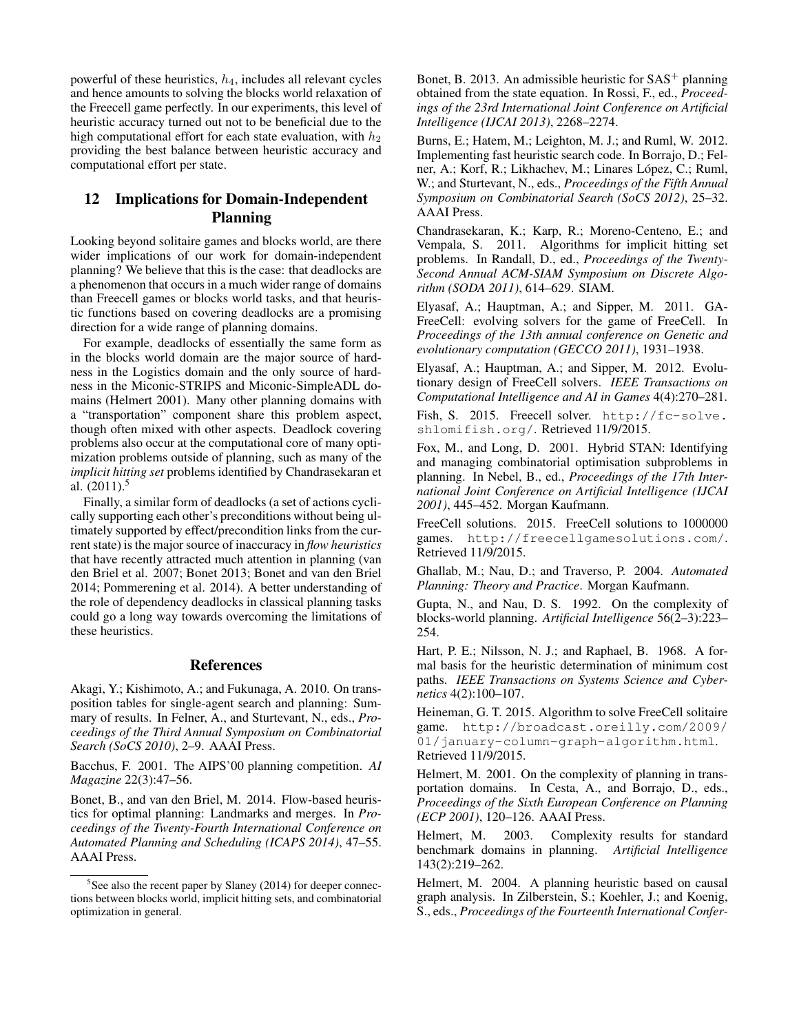powerful of these heuristics,  $h_4$ , includes all relevant cycles and hence amounts to solving the blocks world relaxation of the Freecell game perfectly. In our experiments, this level of heuristic accuracy turned out not to be beneficial due to the high computational effort for each state evaluation, with  $h_2$ providing the best balance between heuristic accuracy and computational effort per state.

# 12 Implications for Domain-Independent Planning

Looking beyond solitaire games and blocks world, are there wider implications of our work for domain-independent planning? We believe that this is the case: that deadlocks are a phenomenon that occurs in a much wider range of domains than Freecell games or blocks world tasks, and that heuristic functions based on covering deadlocks are a promising direction for a wide range of planning domains.

For example, deadlocks of essentially the same form as in the blocks world domain are the major source of hardness in the Logistics domain and the only source of hardness in the Miconic-STRIPS and Miconic-SimpleADL domains (Helmert 2001). Many other planning domains with a "transportation" component share this problem aspect, though often mixed with other aspects. Deadlock covering problems also occur at the computational core of many optimization problems outside of planning, such as many of the *implicit hitting set* problems identified by Chandrasekaran et al.  $(2011).$ <sup>5</sup>

Finally, a similar form of deadlocks (a set of actions cyclically supporting each other's preconditions without being ultimately supported by effect/precondition links from the current state) is the major source of inaccuracy in *flow heuristics* that have recently attracted much attention in planning (van den Briel et al. 2007; Bonet 2013; Bonet and van den Briel 2014; Pommerening et al. 2014). A better understanding of the role of dependency deadlocks in classical planning tasks could go a long way towards overcoming the limitations of these heuristics.

## References

Akagi, Y.; Kishimoto, A.; and Fukunaga, A. 2010. On transposition tables for single-agent search and planning: Summary of results. In Felner, A., and Sturtevant, N., eds., *Proceedings of the Third Annual Symposium on Combinatorial Search (SoCS 2010)*, 2–9. AAAI Press.

Bacchus, F. 2001. The AIPS'00 planning competition. *AI Magazine* 22(3):47–56.

Bonet, B., and van den Briel, M. 2014. Flow-based heuristics for optimal planning: Landmarks and merges. In *Proceedings of the Twenty-Fourth International Conference on Automated Planning and Scheduling (ICAPS 2014)*, 47–55. AAAI Press.

Bonet, B. 2013. An admissible heuristic for  $SAS^+$  planning obtained from the state equation. In Rossi, F., ed., *Proceedings of the 23rd International Joint Conference on Artificial Intelligence (IJCAI 2013)*, 2268–2274.

Burns, E.; Hatem, M.; Leighton, M. J.; and Ruml, W. 2012. Implementing fast heuristic search code. In Borrajo, D.; Felner, A.; Korf, R.; Likhachev, M.; Linares López, C.; Ruml, W.; and Sturtevant, N., eds., *Proceedings of the Fifth Annual Symposium on Combinatorial Search (SoCS 2012)*, 25–32. AAAI Press.

Chandrasekaran, K.; Karp, R.; Moreno-Centeno, E.; and Vempala, S. 2011. Algorithms for implicit hitting set problems. In Randall, D., ed., *Proceedings of the Twenty-Second Annual ACM-SIAM Symposium on Discrete Algorithm (SODA 2011)*, 614–629. SIAM.

Elyasaf, A.; Hauptman, A.; and Sipper, M. 2011. GA-FreeCell: evolving solvers for the game of FreeCell. In *Proceedings of the 13th annual conference on Genetic and evolutionary computation (GECCO 2011)*, 1931–1938.

Elyasaf, A.; Hauptman, A.; and Sipper, M. 2012. Evolutionary design of FreeCell solvers. *IEEE Transactions on Computational Intelligence and AI in Games* 4(4):270–281.

Fish, S. 2015. Freecell solver. http://fc-solve. shlomifish.org/. Retrieved 11/9/2015.

Fox, M., and Long, D. 2001. Hybrid STAN: Identifying and managing combinatorial optimisation subproblems in planning. In Nebel, B., ed., *Proceedings of the 17th International Joint Conference on Artificial Intelligence (IJCAI 2001)*, 445–452. Morgan Kaufmann.

FreeCell solutions. 2015. FreeCell solutions to 1000000 games. http://freecellgamesolutions.com/. Retrieved 11/9/2015.

Ghallab, M.; Nau, D.; and Traverso, P. 2004. *Automated Planning: Theory and Practice*. Morgan Kaufmann.

Gupta, N., and Nau, D. S. 1992. On the complexity of blocks-world planning. *Artificial Intelligence* 56(2–3):223– 254.

Hart, P. E.; Nilsson, N. J.; and Raphael, B. 1968. A formal basis for the heuristic determination of minimum cost paths. *IEEE Transactions on Systems Science and Cybernetics* 4(2):100–107.

Heineman, G. T. 2015. Algorithm to solve FreeCell solitaire game. http://broadcast.oreilly.com/2009/ 01/january-column-graph-algorithm.html. Retrieved 11/9/2015.

Helmert, M. 2001. On the complexity of planning in transportation domains. In Cesta, A., and Borrajo, D., eds., *Proceedings of the Sixth European Conference on Planning (ECP 2001)*, 120–126. AAAI Press.

Helmert, M. 2003. Complexity results for standard benchmark domains in planning. *Artificial Intelligence* 143(2):219–262.

Helmert, M. 2004. A planning heuristic based on causal graph analysis. In Zilberstein, S.; Koehler, J.; and Koenig, S., eds., *Proceedings of the Fourteenth International Confer-*

<sup>&</sup>lt;sup>5</sup>See also the recent paper by Slaney (2014) for deeper connections between blocks world, implicit hitting sets, and combinatorial optimization in general.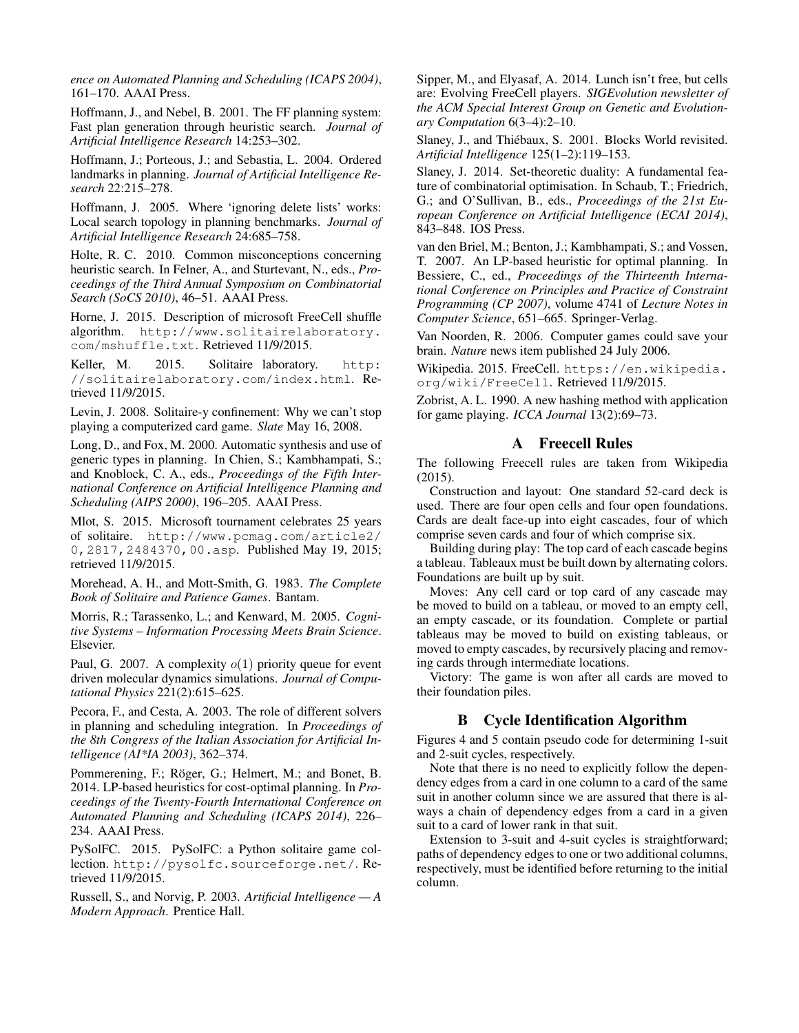*ence on Automated Planning and Scheduling (ICAPS 2004)*, 161–170. AAAI Press.

Hoffmann, J., and Nebel, B. 2001. The FF planning system: Fast plan generation through heuristic search. *Journal of Artificial Intelligence Research* 14:253–302.

Hoffmann, J.; Porteous, J.; and Sebastia, L. 2004. Ordered landmarks in planning. *Journal of Artificial Intelligence Research* 22:215–278.

Hoffmann, J. 2005. Where 'ignoring delete lists' works: Local search topology in planning benchmarks. *Journal of Artificial Intelligence Research* 24:685–758.

Holte, R. C. 2010. Common misconceptions concerning heuristic search. In Felner, A., and Sturtevant, N., eds., *Proceedings of the Third Annual Symposium on Combinatorial Search (SoCS 2010)*, 46–51. AAAI Press.

Horne, J. 2015. Description of microsoft FreeCell shuffle algorithm. http://www.solitairelaboratory. com/mshuffle.txt. Retrieved 11/9/2015.

Keller, M. 2015. Solitaire laboratory. http: //solitairelaboratory.com/index.html. Retrieved 11/9/2015.

Levin, J. 2008. Solitaire-y confinement: Why we can't stop playing a computerized card game. *Slate* May 16, 2008.

Long, D., and Fox, M. 2000. Automatic synthesis and use of generic types in planning. In Chien, S.; Kambhampati, S.; and Knoblock, C. A., eds., *Proceedings of the Fifth International Conference on Artificial Intelligence Planning and Scheduling (AIPS 2000)*, 196–205. AAAI Press.

Mlot, S. 2015. Microsoft tournament celebrates 25 years of solitaire. http://www.pcmag.com/article2/ 0,2817,2484370,00.asp. Published May 19, 2015; retrieved 11/9/2015.

Morehead, A. H., and Mott-Smith, G. 1983. *The Complete Book of Solitaire and Patience Games*. Bantam.

Morris, R.; Tarassenko, L.; and Kenward, M. 2005. *Cognitive Systems – Information Processing Meets Brain Science*. Elsevier.

Paul, G. 2007. A complexity  $o(1)$  priority queue for event driven molecular dynamics simulations. *Journal of Computational Physics* 221(2):615–625.

Pecora, F., and Cesta, A. 2003. The role of different solvers in planning and scheduling integration. In *Proceedings of the 8th Congress of the Italian Association for Artificial Intelligence (AI\*IA 2003)*, 362–374.

Pommerening, F.; Röger, G.; Helmert, M.; and Bonet, B. 2014. LP-based heuristics for cost-optimal planning. In *Proceedings of the Twenty-Fourth International Conference on Automated Planning and Scheduling (ICAPS 2014)*, 226– 234. AAAI Press.

PySolFC. 2015. PySolFC: a Python solitaire game collection. http://pysolfc.sourceforge.net/. Retrieved 11/9/2015.

Russell, S., and Norvig, P. 2003. *Artificial Intelligence — A Modern Approach*. Prentice Hall.

Sipper, M., and Elyasaf, A. 2014. Lunch isn't free, but cells are: Evolving FreeCell players. *SIGEvolution newsletter of the ACM Special Interest Group on Genetic and Evolutionary Computation* 6(3–4):2–10.

Slaney, J., and Thiébaux, S. 2001. Blocks World revisited. *Artificial Intelligence* 125(1–2):119–153.

Slaney, J. 2014. Set-theoretic duality: A fundamental feature of combinatorial optimisation. In Schaub, T.; Friedrich, G.; and O'Sullivan, B., eds., *Proceedings of the 21st European Conference on Artificial Intelligence (ECAI 2014)*, 843–848. IOS Press.

van den Briel, M.; Benton, J.; Kambhampati, S.; and Vossen, T. 2007. An LP-based heuristic for optimal planning. In Bessiere, C., ed., *Proceedings of the Thirteenth International Conference on Principles and Practice of Constraint Programming (CP 2007)*, volume 4741 of *Lecture Notes in Computer Science*, 651–665. Springer-Verlag.

Van Noorden, R. 2006. Computer games could save your brain. *Nature* news item published 24 July 2006.

Wikipedia. 2015. FreeCell. https://en.wikipedia. org/wiki/FreeCell. Retrieved 11/9/2015.

Zobrist, A. L. 1990. A new hashing method with application for game playing. *ICCA Journal* 13(2):69–73.

## A Freecell Rules

The following Freecell rules are taken from Wikipedia (2015).

Construction and layout: One standard 52-card deck is used. There are four open cells and four open foundations. Cards are dealt face-up into eight cascades, four of which comprise seven cards and four of which comprise six.

Building during play: The top card of each cascade begins a tableau. Tableaux must be built down by alternating colors. Foundations are built up by suit.

Moves: Any cell card or top card of any cascade may be moved to build on a tableau, or moved to an empty cell, an empty cascade, or its foundation. Complete or partial tableaus may be moved to build on existing tableaus, or moved to empty cascades, by recursively placing and removing cards through intermediate locations.

Victory: The game is won after all cards are moved to their foundation piles.

## B Cycle Identification Algorithm

Figures 4 and 5 contain pseudo code for determining 1-suit and 2-suit cycles, respectively.

Note that there is no need to explicitly follow the dependency edges from a card in one column to a card of the same suit in another column since we are assured that there is always a chain of dependency edges from a card in a given suit to a card of lower rank in that suit.

Extension to 3-suit and 4-suit cycles is straightforward; paths of dependency edges to one or two additional columns, respectively, must be identified before returning to the initial column.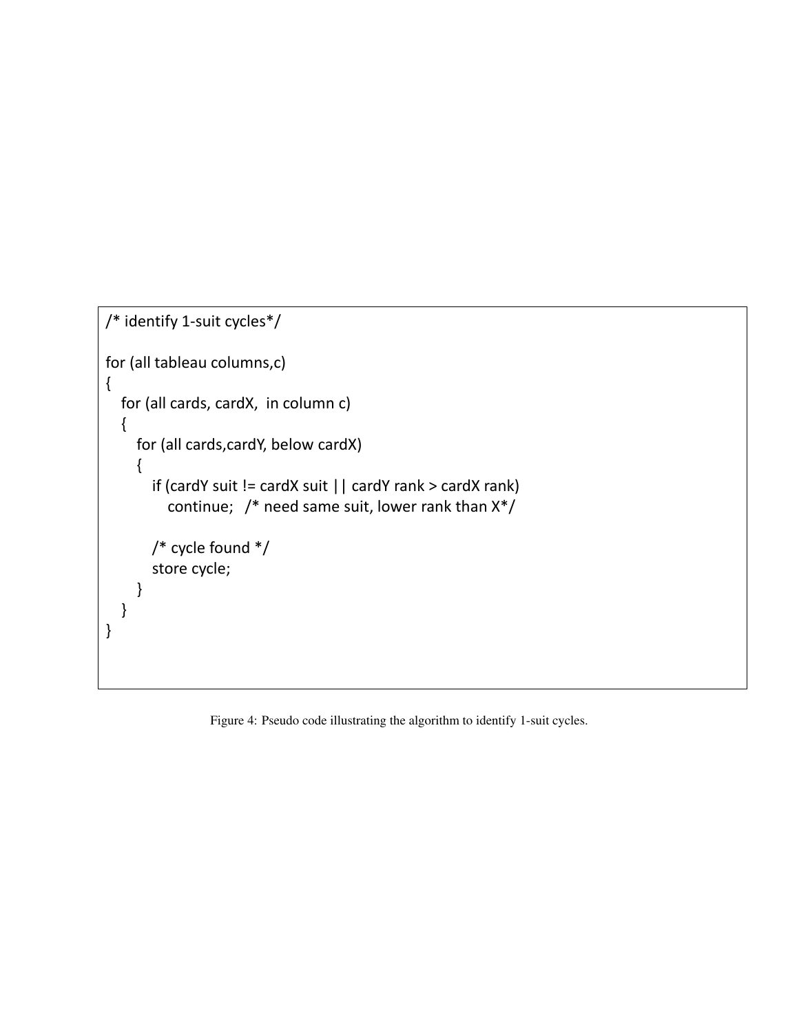```
/* identify 1-suit cycles*/
for (all tableau columns,c)
{
  for (all cards, cardX, in column c)
  {
    for (all cards,cardY, below cardX)
    {
       if (cardY suit != cardX suit || cardY rank > cardX rank)
         continue; /* need same suit, lower rank than X*/
       /* cycle found */
       store cycle;
    }
  }
}
```
Figure 4: Pseudo code illustrating the algorithm to identify 1-suit cycles.